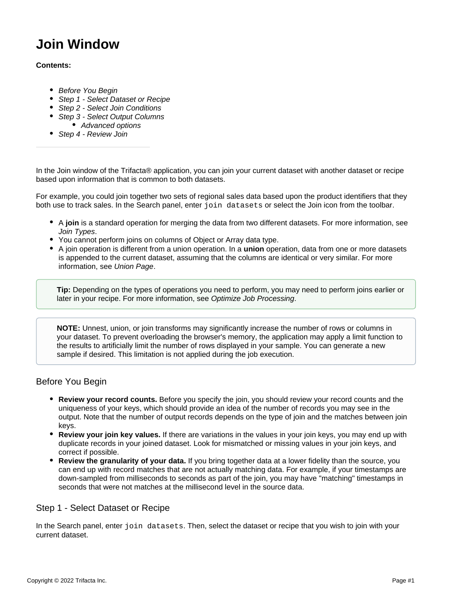# **Join Window**

# **Contents:**

- [Before You Begin](#page-0-0)
- [Step 1 Select Dataset or Recipe](#page-0-1)
- [Step 2 Select Join Conditions](#page-1-0)
- [Step 3 Select Output Columns](#page-3-0)
	- [Advanced options](#page-3-1)
- [Step 4 Review Join](#page-4-0)

In the Join window of the Trifacta® application, you can join your current dataset with another dataset or recipe based upon information that is common to both datasets.

For example, you could join together two sets of regional sales data based upon the product identifiers that they both use to track sales. In the Search panel, enter join datasets or select the Join icon from the toolbar.

- A **join** is a standard operation for merging the data from two different datasets. For more information, see [Join Types](https://docs.trifacta.com/display/SS/Join+Types).
- You cannot perform joins on columns of Object or Array data type.
- A join operation is different from a union operation. In a **union** operation, data from one or more datasets is appended to the current dataset, assuming that the columns are identical or very similar. For more information, see [Union Page](https://docs.trifacta.com/display/SS/Union+Page).

**Tip:** Depending on the types of operations you need to perform, you may need to perform joins earlier or later in your recipe. For more information, see [Optimize Job Processing](https://docs.trifacta.com/display/SS/Optimize+Job+Processing).

**NOTE:** Unnest, union, or join transforms may significantly increase the number of rows or columns in your dataset. To prevent overloading the browser's memory, the application may apply a limit function to the results to artificially limit the number of rows displayed in your sample. You can generate a new sample if desired. This limitation is not applied during the job execution.

# <span id="page-0-0"></span>Before You Begin

- **Review your record counts.** Before you specify the join, you should review your record counts and the uniqueness of your keys, which should provide an idea of the number of records you may see in the output. Note that the number of output records depends on the type of join and the matches between join keys.
- **Review your join key values.** If there are variations in the values in your join keys, you may end up with duplicate records in your joined dataset. Look for mismatched or missing values in your join keys, and correct if possible.
- **Review the granularity of your data.** If you bring together data at a lower fidelity than the source, you can end up with record matches that are not actually matching data. For example, if your timestamps are down-sampled from milliseconds to seconds as part of the join, you may have "matching" timestamps in seconds that were not matches at the millisecond level in the source data.

# <span id="page-0-1"></span>Step 1 - Select Dataset or Recipe

In the Search panel, enter join datasets. Then, select the dataset or recipe that you wish to join with your current dataset.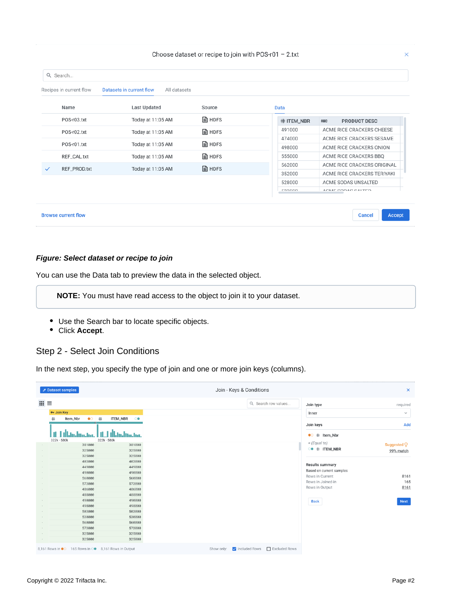| Choose dataset or recipe to join with POS-r01 $-$ 2.txt |                                          |               |             |                  |     |                                                       |  |  |  |  |  |  |  |
|---------------------------------------------------------|------------------------------------------|---------------|-------------|------------------|-----|-------------------------------------------------------|--|--|--|--|--|--|--|
| Q Search                                                |                                          |               |             |                  |     |                                                       |  |  |  |  |  |  |  |
| Recipes in current flow                                 | Datasets in current flow<br>All datasets |               |             |                  |     |                                                       |  |  |  |  |  |  |  |
| Name                                                    | <b>Last Updated</b>                      | Source        | <b>Data</b> |                  |     |                                                       |  |  |  |  |  |  |  |
| POS-r03.txt                                             | Today at 11:05 AM                        | <b>A</b> HDFS |             | # ITEM_NBR       | RBC | <b>PRODUCT DESC</b>                                   |  |  |  |  |  |  |  |
| POS-r02.txt                                             | Today at 11:05 AM                        | <b>A</b> HDFS |             | 491000           |     | ACME RICE CRACKERS CHEESE                             |  |  |  |  |  |  |  |
| POS-r01.txt                                             | Today at 11:05 AM                        | <b>m</b> HDFS |             | 474000           |     | ACME RICE CRACKERS SESAME                             |  |  |  |  |  |  |  |
|                                                         |                                          |               |             | 498000<br>555000 |     | ACME RICE CRACKERS ONION                              |  |  |  |  |  |  |  |
| REF_CAL.txt                                             | Today at 11:05 AM                        | <b>A</b> HDFS |             | 562000           |     | ACME RICE CRACKERS BBQ<br>ACME RICE CRACKERS ORIGINAL |  |  |  |  |  |  |  |
| REF_PROD.txt<br>$\checkmark$                            | Today at 11:05 AM                        | <b>A</b> HDFS |             | 352000           |     | ACME RICE CRACKERS TERIYAKI                           |  |  |  |  |  |  |  |
|                                                         |                                          |               |             | 528000           |     | ACME SODAS UNSALTED                                   |  |  |  |  |  |  |  |
|                                                         |                                          |               |             | EODDOO           |     | AOME CODAC CALTER                                     |  |  |  |  |  |  |  |

# **Figure: Select dataset or recipe to join**

You can use the Data tab to preview the data in the selected object.

**NOTE:** You must have read access to the object to join it to your dataset.

- Use the Search bar to locate specific objects.
- Click **Accept**.

# <span id="page-1-0"></span>Step 2 - Select Join Conditions

In the next step, you specify the type of join and one or more join keys (columns).

| Join type                         |
|-----------------------------------|
| Inner                             |
|                                   |
| Join keys<br>$\bullet$ # Item_Nbr |
| $= (Equal to)$                    |
| O # ITEM_NBR                      |
|                                   |
| <b>Results summary</b>            |
| Based on current samples          |
| Rows in Current                   |
| Rows in Joined-in                 |
| Rows in Output                    |
|                                   |
|                                   |
| <b>Back</b>                       |
|                                   |
|                                   |
|                                   |
|                                   |
|                                   |
|                                   |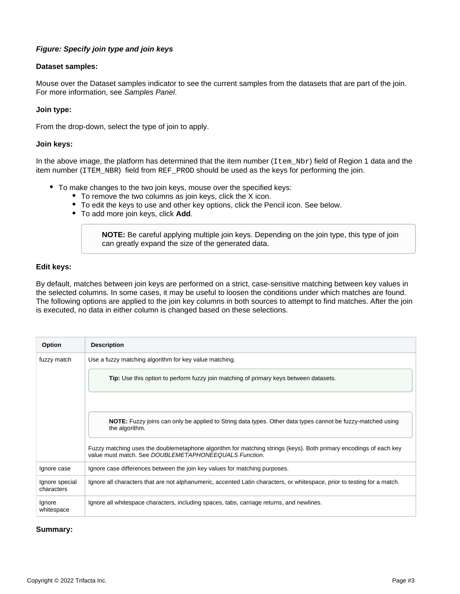# **Figure: Specify join type and join keys**

#### **Dataset samples:**

Mouse over the Dataset samples indicator to see the current samples from the datasets that are part of the join. For more information, see [Samples Panel](https://docs.trifacta.com/display/SS/Samples+Panel).

#### **Join type:**

From the drop-down, select the type of join to apply.

#### **Join keys:**

In the above image, the platform has determined that the item number (Item\_Nbr) field of Region 1 data and the item number (ITEM\_NBR) field from REF\_PROD should be used as the keys for performing the join.

- To make changes to the two join keys, mouse over the specified keys:
	- To remove the two columns as join keys, click the X icon.
	- To edit the keys to use and other key options, click the Pencil icon. See below.
	- To add more join keys, click **Add**.

**NOTE:** Be careful applying multiple join keys. Depending on the join type, this type of join can greatly expand the size of the generated data.

## **Edit keys:**

By default, matches between join keys are performed on a strict, case-sensitive matching between key values in the selected columns. In some cases, it may be useful to loosen the conditions under which matches are found. The following options are applied to the join key columns in both sources to attempt to find matches. After the join is executed, no data in either column is changed based on these selections.

| <b>Option</b>                | <b>Description</b>                                                                                                                                                         |
|------------------------------|----------------------------------------------------------------------------------------------------------------------------------------------------------------------------|
| fuzzy match                  | Use a fuzzy matching algorithm for key value matching.                                                                                                                     |
|                              | <b>Tip:</b> Use this option to perform fuzzy join matching of primary keys between datasets.                                                                               |
|                              |                                                                                                                                                                            |
|                              | <b>NOTE:</b> Fuzzy joins can only be applied to String data types. Other data types cannot be fuzzy-matched using<br>the algorithm.                                        |
|                              | Fuzzy matching uses the doublemetaphone algorithm for matching strings (keys). Both primary encodings of each key<br>value must match. See DOUBLEMETAPHONEEQUALS Function. |
| Ignore case                  | Ignore case differences between the join key values for matching purposes.                                                                                                 |
| Ignore special<br>characters | Ignore all characters that are not alphanumeric, accented Latin characters, or whitespace, prior to testing for a match.                                                   |
| Ignore<br>whitespace         | Ignore all whitespace characters, including spaces, tabs, carriage returns, and newlines.                                                                                  |

#### **Summary:**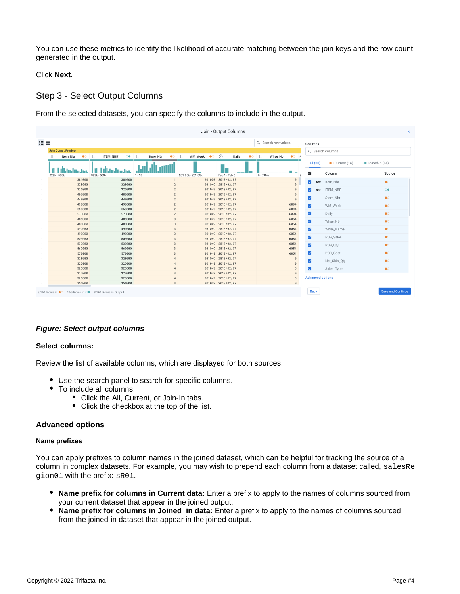You can use these metrics to identify the likelihood of accurate matching between the join keys and the row count generated in the output.

Click **Next**.

# <span id="page-3-0"></span>Step 3 - Select Output Columns

From the selected datasets, you can specify the columns to include in the output.

| Join - Output Columns                                                                |                                                      |                  |             |           |  |                  |          |           |  |                |   |                   |           |         | $\times$                               |           |             |          |                      |                                                      |                        |                   |                          |
|--------------------------------------------------------------------------------------|------------------------------------------------------|------------------|-------------|-----------|--|------------------|----------|-----------|--|----------------|---|-------------------|-----------|---------|----------------------------------------|-----------|-------------|----------|----------------------|------------------------------------------------------|------------------------|-------------------|--------------------------|
| $\mathbf{m} \equiv$<br>Q Search row values.<br>Columns<br><b>Join Output Preview</b> |                                                      |                  |             |           |  |                  |          |           |  |                |   |                   |           |         |                                        |           |             |          |                      |                                                      |                        |                   |                          |
|                                                                                      |                                                      |                  |             |           |  |                  |          |           |  |                |   |                   |           |         |                                        |           |             |          |                      |                                                      | Q Search columns       |                   |                          |
| #                                                                                    | Item_Nbr                                             | $\bullet$        | #           | ITEM_NBR1 |  | $\circ\bullet$   | #        | Store_Nbr |  | $\bullet$      | # | WM_Week           | $\bullet$ | $\odot$ | Daily                                  | $\bullet$ | #           | Whse_Nbr | $O$ R                |                                                      |                        |                   |                          |
|                                                                                      |                                                      |                  |             |           |  |                  |          |           |  |                |   |                   |           |         |                                        |           |             |          |                      | All (30)                                             | $\bullet$ Current (16) | ○● Joined-In (14) |                          |
|                                                                                      |                                                      |                  |             |           |  |                  |          |           |  |                |   |                   |           |         |                                        |           |             |          | ٠<br>$-$             |                                                      |                        |                   | Source                   |
| 322k - 580k                                                                          |                                                      |                  | 322k - 580k |           |  |                  | $1 - 99$ |           |  |                |   | 201.05k - 201.05k |           |         | Feb 1 - Feb 8                          |           | $0 - 7.04k$ |          |                      | $\checkmark$                                         | Column                 |                   |                          |
|                                                                                      |                                                      | 381000<br>325000 |             |           |  | 381000<br>325000 |          |           |  | $\overline{2}$ |   |                   |           |         | 201050 2013/02/08<br>201049 2013/02/07 |           |             |          | $\theta$<br>$\theta$ | ☑<br>ᠳ                                               | Item_Nbr               |                   | $\bullet$                |
|                                                                                      |                                                      | 325000           |             |           |  | 325000           |          |           |  | $\overline{2}$ |   |                   |           |         | 201049 2013/02/07                      |           |             |          | $\theta$             | $\overline{\mathsf{v}}$<br>$\mathbf{O}_{\mathbf{T}}$ | <b>ITEM_NBR</b>        |                   | $\circ$                  |
|                                                                                      |                                                      | 403000           |             |           |  | 403000           |          |           |  | $\overline{2}$ |   |                   |           |         | 201049 2013/02/07                      |           |             |          | $\theta$             |                                                      |                        |                   |                          |
|                                                                                      |                                                      | 449000           |             |           |  | 449000           |          |           |  | $\overline{2}$ |   |                   |           |         | 201049 2013/02/07                      |           |             |          | $\Omega$             | ☑                                                    | Store_Nbr              |                   | $\bullet$                |
|                                                                                      |                                                      | 490000           |             |           |  | 490000           |          |           |  | $\overline{2}$ |   |                   |           |         | 201049 2013/02/07                      |           |             |          | 6094                 | $\blacktriangleright$                                | WM_Week                |                   | $\bullet$                |
|                                                                                      |                                                      | 560000           |             |           |  | 560000           |          |           |  | $\overline{2}$ |   |                   |           |         | 201049 2013/02/07                      |           |             |          | 6094                 |                                                      |                        |                   |                          |
|                                                                                      |                                                      | 573000           |             |           |  | 573000           |          |           |  | $\overline{2}$ |   |                   |           |         | 201049 2013/02/07                      |           |             |          | 6094                 | $\blacktriangleright$                                | Daily                  |                   | $\bullet$                |
|                                                                                      |                                                      | 486000           |             |           |  | 486000           |          |           |  | $\overline{a}$ |   |                   |           |         | 201049 2013/02/07                      |           |             |          | 6054                 | $\overline{\mathsf{S}}$                              | Whse_Nbr               |                   | $\bullet$                |
|                                                                                      |                                                      | 488000           |             |           |  | 488000           |          |           |  | 3              |   |                   |           |         | 201049 2013/02/07                      |           |             |          | 6054                 |                                                      |                        |                   |                          |
|                                                                                      |                                                      | 490000<br>498000 |             |           |  | 490000<br>498000 |          |           |  | 3<br>3         |   |                   |           |         | 201049 2013/02/07<br>201049 2013/02/07 |           |             |          | 6054<br>6054         | $\overline{\mathsf{v}}$                              | Whse_Name              |                   | $\bullet$                |
|                                                                                      |                                                      | 503000           |             |           |  | 503000           |          |           |  | 3              |   |                   |           |         | 201049 2013/02/07                      |           |             |          | 6054                 | $\blacktriangleright$                                | POS_Sales              |                   | $\bullet$                |
|                                                                                      |                                                      | 530000           |             |           |  | 530000           |          |           |  | 3              |   |                   |           |         | 201049 2013/02/07                      |           |             |          | 6054                 |                                                      |                        |                   | $\bullet$                |
|                                                                                      |                                                      | 560000           |             |           |  | 560000           |          |           |  | 3              |   |                   |           |         | 201049 2013/02/07                      |           |             |          | 6054                 | $\blacktriangleright$                                | POS_Qty                |                   |                          |
|                                                                                      |                                                      | 573000           |             |           |  | 573000           |          |           |  |                |   |                   |           |         | 201049 2013/02/07                      |           |             |          | 6054                 | $\overline{\mathsf{S}}$                              | POS_Cost               |                   | $\bullet$                |
|                                                                                      |                                                      | 325000           |             |           |  | 325000           |          |           |  |                |   |                   |           |         | 201049 2013/02/07                      |           |             |          | $\theta$             | $\overline{\mathbf{v}}$                              | Net_Ship_Qty           |                   | $\bullet$                |
|                                                                                      |                                                      | 325000           |             |           |  | 325000           |          |           |  |                |   |                   |           |         | 201049 2013/02/07                      |           |             |          | $\theta$             |                                                      |                        |                   |                          |
|                                                                                      |                                                      | 326000           |             |           |  | 326000           |          |           |  |                |   |                   |           |         | 201049 2013/02/07                      |           |             |          | $\theta$             | $\overline{\smile}$                                  | Sales_Type             |                   | $\bullet$                |
|                                                                                      |                                                      | 327000           |             |           |  | 327000           |          |           |  |                |   |                   |           |         | 201049 2013/02/07                      |           |             |          | $\theta$             |                                                      |                        |                   |                          |
|                                                                                      |                                                      | 328000           |             |           |  | 328000           |          |           |  |                |   |                   |           |         | 201049 2013/02/07                      |           |             |          | $\theta$             | <b>Advanced options</b>                              |                        |                   |                          |
|                                                                                      |                                                      | 351000           |             |           |  | 351000           |          |           |  |                |   |                   |           |         | 201049 2013/02/07                      |           |             |          | $\theta$             |                                                      |                        |                   |                          |
|                                                                                      | 8,161 Rows in ●○ 165 Rows in ○● 8,161 Rows in Output |                  |             |           |  |                  |          |           |  |                |   |                   |           |         |                                        |           |             |          |                      | <b>Back</b>                                          |                        |                   | <b>Save and Continue</b> |

#### **Figure: Select output columns**

#### **Select columns:**

Review the list of available columns, which are displayed for both sources.

- Use the search panel to search for specific columns.
- To include all columns:
	- Click the All, Current, or Join-In tabs.
	- Click the checkbox at the top of the list.

# <span id="page-3-1"></span>**Advanced options**

#### **Name prefixes**

You can apply prefixes to column names in the joined dataset, which can be helpful for tracking the source of a column in complex datasets. For example, you may wish to prepend each column from a dataset called, salesRe gion01 with the prefix: sR01.

- **Name prefix for columns in Current data:** Enter a prefix to apply to the names of columns sourced from your current dataset that appear in the joined output.
- **Name prefix for columns in Joined\_in data:** Enter a prefix to apply to the names of columns sourced from the joined-in dataset that appear in the joined output.